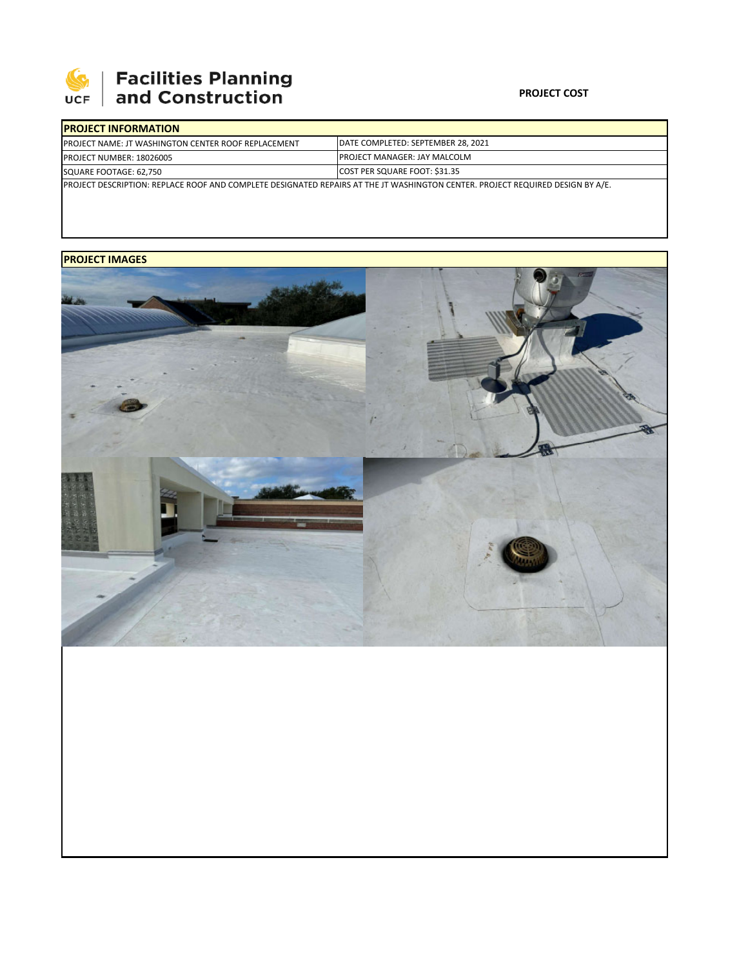

# 

#### **PROJECT COST**

| <b>IPROJECT INFORMATION</b>                                                                                                    |                                      |  |  |  |  |
|--------------------------------------------------------------------------------------------------------------------------------|--------------------------------------|--|--|--|--|
| <b>IPROJECT NAME: JT WASHINGTON CENTER ROOF REPLACEMENT</b>                                                                    | DATE COMPLETED: SEPTEMBER 28, 2021   |  |  |  |  |
| <b>PROJECT NUMBER: 18026005</b>                                                                                                | <b>IPROJECT MANAGER: JAY MALCOLM</b> |  |  |  |  |
| SQUARE FOOTAGE: 62,750                                                                                                         | COST PER SQUARE FOOT: \$31.35        |  |  |  |  |
| PROJECT DESCRIPTION: REPLACE ROOF AND COMPLETE DESIGNATED REPAIRS AT THE JT WASHINGTON CENTER. PROJECT REQUIRED DESIGN BY A/E. |                                      |  |  |  |  |

## **PROJECT IMAGES**